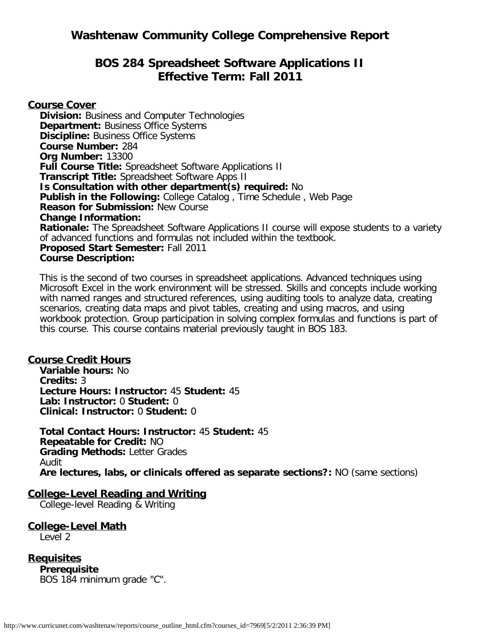# **BOS 284 Spreadsheet Software Applications II Effective Term: Fall 2011**

**Course Cover Division:** Business and Computer Technologies **Department: Business Office Systems Discipline:** Business Office Systems **Course Number:** 284 **Org Number:** 13300 **Full Course Title:** Spreadsheet Software Applications II **Transcript Title:** Spreadsheet Software Apps II **Is Consultation with other department(s) required:** No **Publish in the Following:** College Catalog , Time Schedule , Web Page **Reason for Submission:** New Course **Change Information: Rationale:** The Spreadsheet Software Applications II course will expose students to a variety of advanced functions and formulas not included within the textbook. **Proposed Start Semester:** Fall 2011 **Course Description:**

This is the second of two courses in spreadsheet applications. Advanced techniques using Microsoft Excel in the work environment will be stressed. Skills and concepts include working with named ranges and structured references, using auditing tools to analyze data, creating scenarios, creating data maps and pivot tables, creating and using macros, and using workbook protection. Group participation in solving complex formulas and functions is part of this course. This course contains material previously taught in BOS 183.

### **Course Credit Hours**

**Variable hours:** No **Credits:** 3 **Lecture Hours: Instructor:** 45 **Student:** 45 **Lab: Instructor:** 0 **Student:** 0 **Clinical: Instructor:** 0 **Student:** 0

**Total Contact Hours: Instructor:** 45 **Student:** 45 **Repeatable for Credit:** NO **Grading Methods:** Letter Grades Audit **Are lectures, labs, or clinicals offered as separate sections?:** NO (same sections)

#### **College-Level Reading and Writing**

College-level Reading & Writing

**College-Level Math** Level 2

**Requisites Prerequisite** BOS 184 minimum grade "C".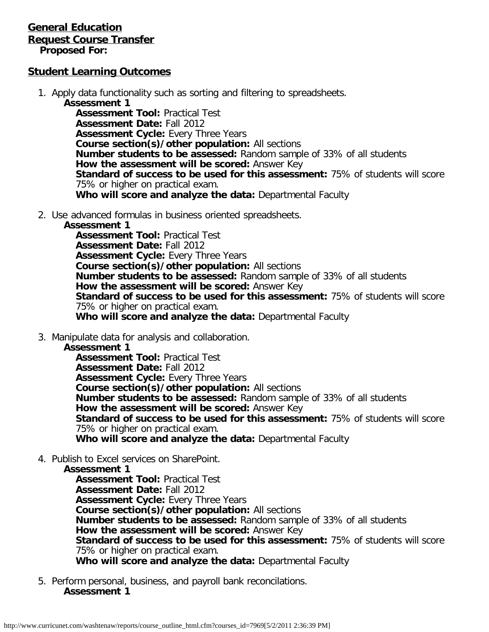#### **General Education Request Course Transfer Proposed For:**

### **Student Learning Outcomes**

- 1. Apply data functionality such as sorting and filtering to spreadsheets.
	- **Assessment 1**

**Assessment Tool:** Practical Test **Assessment Date:** Fall 2012 **Assessment Cycle: Every Three Years Course section(s)/other population:** All sections **Number students to be assessed:** Random sample of 33% of all students **How the assessment will be scored:** Answer Key **Standard of success to be used for this assessment:** 75% of students will score 75% or higher on practical exam. **Who will score and analyze the data:** Departmental Faculty

2. Use advanced formulas in business oriented spreadsheets.

#### **Assessment 1**

**Assessment Tool:** Practical Test **Assessment Date:** Fall 2012 **Assessment Cycle:** Every Three Years **Course section(s)/other population:** All sections **Number students to be assessed:** Random sample of 33% of all students **How the assessment will be scored:** Answer Key **Standard of success to be used for this assessment:** 75% of students will score 75% or higher on practical exam. **Who will score and analyze the data:** Departmental Faculty

3. Manipulate data for analysis and collaboration.

#### **Assessment 1**

**Assessment Tool:** Practical Test **Assessment Date:** Fall 2012 **Assessment Cycle: Every Three Years Course section(s)/other population:** All sections **Number students to be assessed:** Random sample of 33% of all students **How the assessment will be scored:** Answer Key **Standard of success to be used for this assessment:** 75% of students will score 75% or higher on practical exam. **Who will score and analyze the data:** Departmental Faculty

4. Publish to Excel services on SharePoint.

#### **Assessment 1**

**Assessment Tool:** Practical Test **Assessment Date:** Fall 2012 **Assessment Cycle:** Every Three Years **Course section(s)/other population:** All sections **Number students to be assessed:** Random sample of 33% of all students **How the assessment will be scored:** Answer Key **Standard of success to be used for this assessment:** 75% of students will score 75% or higher on practical exam. **Who will score and analyze the data:** Departmental Faculty

5. Perform personal, business, and payroll bank reconcilations. **Assessment 1**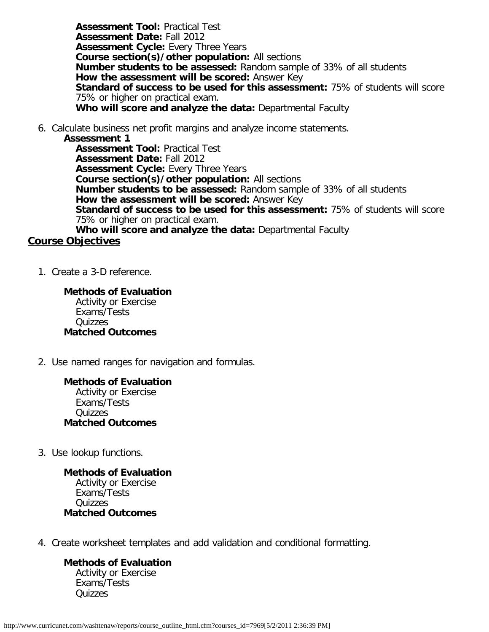**Assessment Tool:** Practical Test **Assessment Date:** Fall 2012 **Assessment Cycle:** Every Three Years **Course section(s)/other population:** All sections **Number students to be assessed:** Random sample of 33% of all students **How the assessment will be scored:** Answer Key **Standard of success to be used for this assessment:** 75% of students will score 75% or higher on practical exam. **Who will score and analyze the data:** Departmental Faculty

6. Calculate business net profit margins and analyze income statements.

**Assessment 1**

**Assessment Tool:** Practical Test **Assessment Date:** Fall 2012 **Assessment Cycle:** Every Three Years **Course section(s)/other population:** All sections **Number students to be assessed:** Random sample of 33% of all students **How the assessment will be scored:** Answer Key **Standard of success to be used for this assessment:** 75% of students will score 75% or higher on practical exam. **Who will score and analyze the data:** Departmental Faculty

#### **Course Objectives**

1. Create a 3-D reference.

**Methods of Evaluation** Activity or Exercise Exams/Tests Quizzes **Matched Outcomes**

2. Use named ranges for navigation and formulas.

**Methods of Evaluation** Activity or Exercise Exams/Tests Quizzes **Matched Outcomes**

3. Use lookup functions.

**Methods of Evaluation** Activity or Exercise Exams/Tests Quizzes **Matched Outcomes**

4. Create worksheet templates and add validation and conditional formatting.

**Methods of Evaluation** Activity or Exercise Exams/Tests **Quizzes**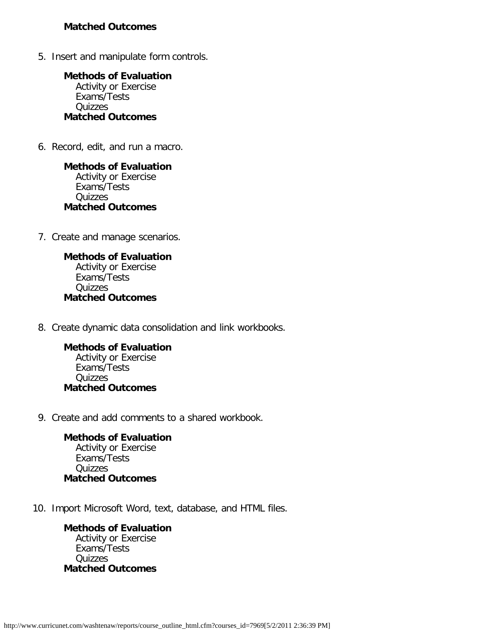#### **Matched Outcomes**

5. Insert and manipulate form controls.

**Methods of Evaluation** Activity or Exercise Exams/Tests Quizzes **Matched Outcomes**

6. Record, edit, and run a macro.

**Methods of Evaluation** Activity or Exercise Exams/Tests Quizzes **Matched Outcomes**

7. Create and manage scenarios.

**Methods of Evaluation** Activity or Exercise Exams/Tests Quizzes **Matched Outcomes**

8. Create dynamic data consolidation and link workbooks.

**Methods of Evaluation** Activity or Exercise Exams/Tests **Quizzes Matched Outcomes**

9. Create and add comments to a shared workbook.

**Methods of Evaluation** Activity or Exercise Exams/Tests Quizzes **Matched Outcomes**

10. Import Microsoft Word, text, database, and HTML files.

**Methods of Evaluation** Activity or Exercise Exams/Tests Quizzes **Matched Outcomes**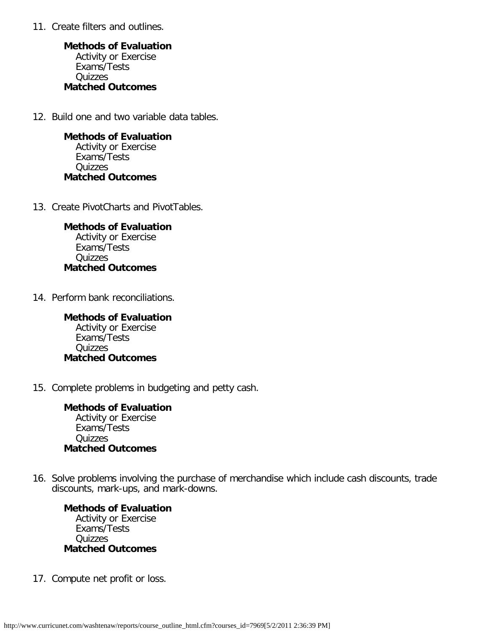11. Create filters and outlines.

**Methods of Evaluation** Activity or Exercise Exams/Tests Quizzes **Matched Outcomes**

12. Build one and two variable data tables.

**Methods of Evaluation** Activity or Exercise Exams/Tests Quizzes **Matched Outcomes**

13. Create PivotCharts and PivotTables.

**Methods of Evaluation** Activity or Exercise Exams/Tests Quizzes **Matched Outcomes**

14. Perform bank reconciliations.

**Methods of Evaluation** Activity or Exercise Exams/Tests Quizzes **Matched Outcomes**

15. Complete problems in budgeting and petty cash.

**Methods of Evaluation** Activity or Exercise Exams/Tests Quizzes **Matched Outcomes**

16. Solve problems involving the purchase of merchandise which include cash discounts, trade discounts, mark-ups, and mark-downs.

**Methods of Evaluation** Activity or Exercise Exams/Tests **Quizzes Matched Outcomes**

17. Compute net profit or loss.